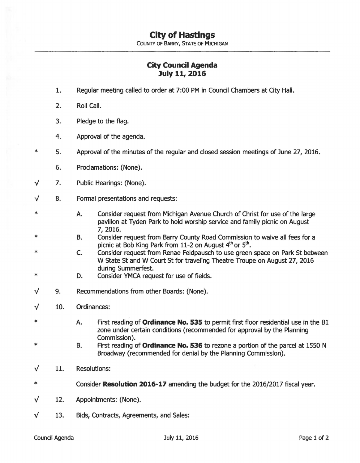## **City of Hastings**

COUNTY OF BARRY, STATE OF MICHIGAN

## **City Council Agenda July 11, 2016**

- 1. Regular meeting called to order at 7:00 PM in Council Chambers at City Hall.
- 2. Roll call.

\*

\*

- 3. Pledge to the flag.
- 4. Approval of the agenda.
- 5. Approval of the minutes of the regular and closed session meetings of June 27, 2016.
	- 6. Proclamations: (None).
- $\sqrt{}$ 7. Public Hearings: (None).
- $\sqrt{2}$ 8. Formal presentations and requests:
	- A. Consider request from Michigan Avenue Church of Christ for use of the large pavilion at Tyden Park to hold worship service and family picnic on August 7, 2016.
- \* B. Consider request from Barry County Road Commission to waive all fees for a picnic at Bob King Park from 11-2 on August  $4<sup>th</sup>$  or  $5<sup>th</sup>$ .
- \* c. Consider request from Renae Feldpausch to use green space on Park St between W State St and W Court St for traveling Theatre Troupe on August 27, 2016 during Summerfest.
- \* D. Consider YMCA request for use of fields.
- $\sqrt{}$ 9. Recommendations from other Boards: (None).
- $\sqrt{}$ 10. Ordinances:
- \* A. First reading of **Ordinance No. 535** to permit first floor residential use in the Bl zone under certain conditions (recommended for approval by the Planning Commission).
- \* B. First reading of **Ordinance No. 536** to rezone a portion of the parcel at 1550 N Broadway (recommended for denial by the Planning Commission).
- 11. Resolutions: √
- \* Consider **Resolution 2016-17** amending the budget for the 2016/2017 fiscal year.
- $\nu$  12. Appointments: (None).
- $\sqrt{13}$ . Bids, Contracts, Agreements, and Sales: